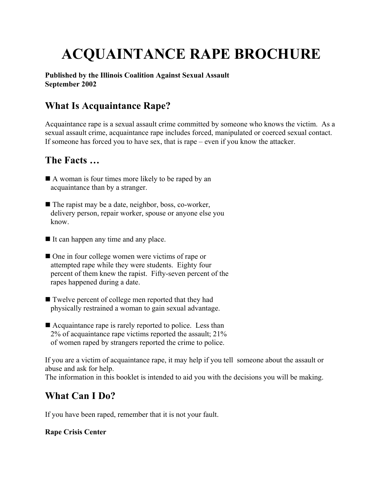# **ACQUAINTANCE RAPE BROCHURE**

**Published by the Illinois Coalition Against Sexual Assault September 2002**

### **What Is Acquaintance Rape?**

Acquaintance rape is a sexual assault crime committed by someone who knows the victim. As a sexual assault crime, acquaintance rape includes forced, manipulated or coerced sexual contact. If someone has forced you to have sex, that is rape – even if you know the attacker.

### **The Facts …**

- A woman is four times more likely to be raped by an acquaintance than by a stranger.
- $\blacksquare$  The rapist may be a date, neighbor, boss, co-worker, delivery person, repair worker, spouse or anyone else you know.
- It can happen any time and any place.
- One in four college women were victims of rape or attempted rape while they were students. Eighty four percent of them knew the rapist. Fifty-seven percent of the rapes happened during a date.
- Twelve percent of college men reported that they had physically restrained a woman to gain sexual advantage.
- Acquaintance rape is rarely reported to police. Less than 2% of acquaintance rape victims reported the assault; 21% of women raped by strangers reported the crime to police.

If you are a victim of acquaintance rape, it may help if you tell someone about the assault or abuse and ask for help.

The information in this booklet is intended to aid you with the decisions you will be making.

### **What Can I Do?**

If you have been raped, remember that it is not your fault.

#### **Rape Crisis Center**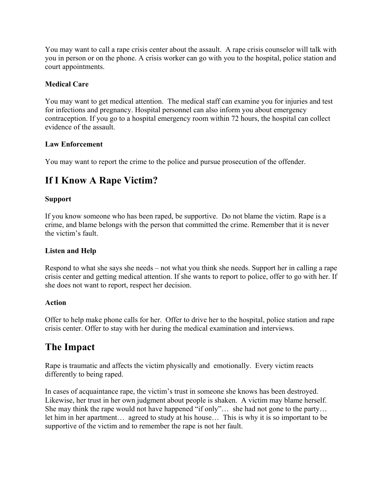You may want to call a rape crisis center about the assault. A rape crisis counselor will talk with you in person or on the phone. A crisis worker can go with you to the hospital, police station and court appointments.

#### **Medical Care**

You may want to get medical attention. The medical staff can examine you for injuries and test for infections and pregnancy. Hospital personnel can also inform you about emergency contraception. If you go to a hospital emergency room within 72 hours, the hospital can collect evidence of the assault.

#### **Law Enforcement**

You may want to report the crime to the police and pursue prosecution of the offender.

# **If I Know A Rape Victim?**

#### **Support**

If you know someone who has been raped, be supportive. Do not blame the victim. Rape is a crime, and blame belongs with the person that committed the crime. Remember that it is never the victim's fault.

#### **Listen and Help**

Respond to what she says she needs – not what you think she needs. Support her in calling a rape crisis center and getting medical attention. If she wants to report to police, offer to go with her. If she does not want to report, respect her decision.

#### **Action**

Offer to help make phone calls for her. Offer to drive her to the hospital, police station and rape crisis center. Offer to stay with her during the medical examination and interviews.

### **The Impact**

Rape is traumatic and affects the victim physically and emotionally. Every victim reacts differently to being raped.

In cases of acquaintance rape, the victim's trust in someone she knows has been destroyed. Likewise, her trust in her own judgment about people is shaken. A victim may blame herself. She may think the rape would not have happened "if only"… she had not gone to the party… let him in her apartment… agreed to study at his house… This is why it is so important to be supportive of the victim and to remember the rape is not her fault.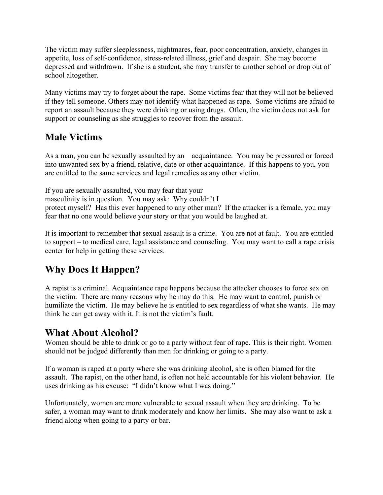The victim may suffer sleeplessness, nightmares, fear, poor concentration, anxiety, changes in appetite, loss of self-confidence, stress-related illness, grief and despair. She may become depressed and withdrawn. If she is a student, she may transfer to another school or drop out of school altogether.

Many victims may try to forget about the rape. Some victims fear that they will not be believed if they tell someone. Others may not identify what happened as rape. Some victims are afraid to report an assault because they were drinking or using drugs. Often, the victim does not ask for support or counseling as she struggles to recover from the assault.

### **Male Victims**

As a man, you can be sexually assaulted by an acquaintance. You may be pressured or forced into unwanted sex by a friend, relative, date or other acquaintance. If this happens to you, you are entitled to the same services and legal remedies as any other victim.

If you are sexually assaulted, you may fear that your masculinity is in question. You may ask: Why couldn't I protect myself? Has this ever happened to any other man? If the attacker is a female, you may fear that no one would believe your story or that you would be laughed at.

It is important to remember that sexual assault is a crime. You are not at fault. You are entitled to support – to medical care, legal assistance and counseling. You may want to call a rape crisis center for help in getting these services.

# **Why Does It Happen?**

A rapist is a criminal. Acquaintance rape happens because the attacker chooses to force sex on the victim. There are many reasons why he may do this. He may want to control, punish or humiliate the victim. He may believe he is entitled to sex regardless of what she wants. He may think he can get away with it. It is not the victim's fault.

### **What About Alcohol?**

Women should be able to drink or go to a party without fear of rape. This is their right. Women should not be judged differently than men for drinking or going to a party.

If a woman is raped at a party where she was drinking alcohol, she is often blamed for the assault. The rapist, on the other hand, is often not held accountable for his violent behavior. He uses drinking as his excuse: "I didn't know what I was doing."

Unfortunately, women are more vulnerable to sexual assault when they are drinking. To be safer, a woman may want to drink moderately and know her limits. She may also want to ask a friend along when going to a party or bar.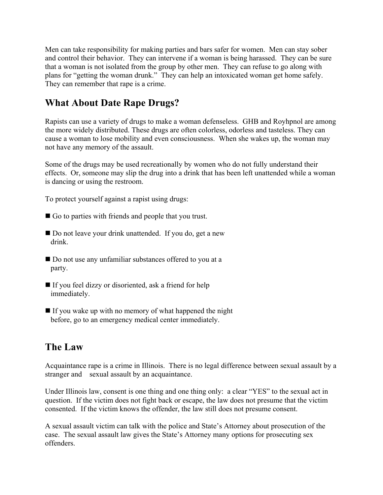Men can take responsibility for making parties and bars safer for women. Men can stay sober and control their behavior. They can intervene if a woman is being harassed. They can be sure that a woman is not isolated from the group by other men. They can refuse to go along with plans for "getting the woman drunk." They can help an intoxicated woman get home safely. They can remember that rape is a crime.

## **What About Date Rape Drugs?**

Rapists can use a variety of drugs to make a woman defenseless. GHB and Royhpnol are among the more widely distributed. These drugs are often colorless, odorless and tasteless. They can cause a woman to lose mobility and even consciousness. When she wakes up, the woman may not have any memory of the assault.

Some of the drugs may be used recreationally by women who do not fully understand their effects. Or, someone may slip the drug into a drink that has been left unattended while a woman is dancing or using the restroom.

To protect yourself against a rapist using drugs:

- Go to parties with friends and people that you trust.
- Do not leave your drink unattended. If you do, get a new drink.
- Do not use any unfamiliar substances offered to you at a party.
- If you feel dizzy or disoriented, ask a friend for help immediately.
- $\blacksquare$  If you wake up with no memory of what happened the night before, go to an emergency medical center immediately.

### **The Law**

Acquaintance rape is a crime in Illinois. There is no legal difference between sexual assault by a stranger and sexual assault by an acquaintance.

Under Illinois law, consent is one thing and one thing only: a clear "YES" to the sexual act in question. If the victim does not fight back or escape, the law does not presume that the victim consented. If the victim knows the offender, the law still does not presume consent.

A sexual assault victim can talk with the police and State's Attorney about prosecution of the case. The sexual assault law gives the State's Attorney many options for prosecuting sex offenders.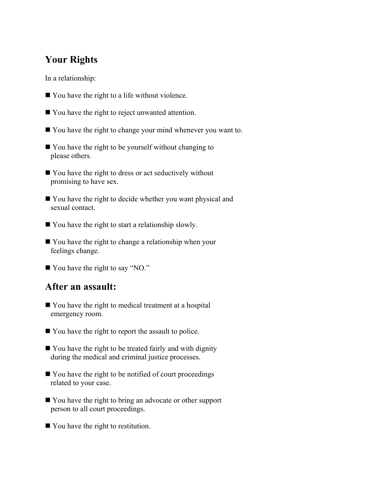### **Your Rights**

In a relationship:

- You have the right to a life without violence.
- You have the right to reject unwanted attention.
- You have the right to change your mind whenever you want to.
- You have the right to be yourself without changing to please others.
- You have the right to dress or act seductively without promising to have sex.
- You have the right to decide whether you want physical and sexual contact.
- You have the right to start a relationship slowly.
- You have the right to change a relationship when your feelings change.
- You have the right to say "NO."

#### **After an assault:**

- You have the right to medical treatment at a hospital emergency room.
- You have the right to report the assault to police.
- You have the right to be treated fairly and with dignity during the medical and criminal justice processes.
- You have the right to be notified of court proceedings related to your case.
- You have the right to bring an advocate or other support person to all court proceedings.
- You have the right to restitution.